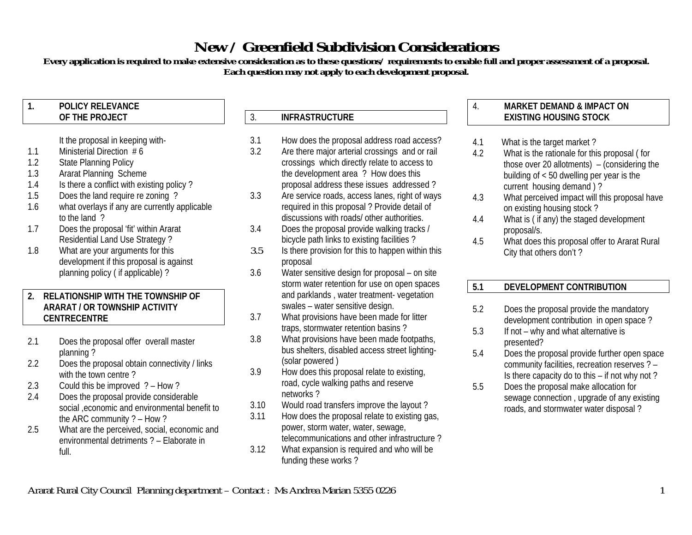# **New / Greenfield Subdivision Considerations**

**Every application is required to make extensive consideration as to these questions/ requirements to enable full and proper assessment of a proposal. Each question may not apply to each development proposal.**

### **1. POLICY RELEVANCEOF THE PROJECT**

# It the proposal in keeping with-

- 1.1Ministerial Direction # 6
- 1.2State Planning Policy
- 1.3Ararat Planning Scheme
- 1.4Is there a conflict with existing policy ?
- 1.5Does the land require re zoning ?
- 1.6what overlays if any are currently applicable to the land ?
- 1.7 Does the proposal 'fit' within Ararat Residential Land Use Strategy ?
- 1.8What are your arguments for this development if this proposal is against planning policy ( if applicable) ?

## **2. RELATIONSHIP WITH THE TOWNSHIP OFARARAT / OR TOWNSHIP ACTIVITYCENTRECENTRE**

- 2.1 Does the proposal offer overall master planning ?
- 2.2 Does the proposal obtain connectivity / links with the town centre?
- 2.3Could this be improved ? – How ?
- 2.4 Does the proposal provide considerable social ,economic and environmental benefit to the ARC community ? – How ?
- 2.5 What are the perceived, social, economic and environmental detriments ? – Elaborate infull.

# 3. **INFRASTRUCTURE**

- 3.1How does the proposal address road access?
- 3.2 Are there major arterial crossings and or rail crossings which directly relate to access to the development area ? How does this proposal address these issues addressed ?
- 3.3 Are service roads, access lanes, right of ways required in this proposal ? Provide detail of discussions with roads/ other authorities.
- 3.4 Does the proposal provide walking tracks / bicycle path links to existing facilities ?
- 3.5 Is there provision for this to happen within this proposal
- 3.6 Water sensitive design for proposal – on site storm water retention for use on open spaces and parklands , water treatment- vegetation swales – water sensitive design.
- 3.7 What provisions have been made for litter traps, stormwater retention basins ?
- 3.8 What provisions have been made footpaths, bus shelters, disabled access street lighting- (solar powered )
- 3.9 How does this proposal relate to existing, road, cycle walking paths and reserve networks ?
- 3.10Would road transfers improve the layout ?
- 3.11 How does the proposal relate to existing gas, power, storm water, water, sewage, telecommunications and other infrastructure ?
- 3.12 What expansion is required and who will be funding these works ?

## 4. **MARKET DEMAND & IMPACT ONEXISTING HOUSING STOCK**

- 4.1 What is the target market ?
- 4.2 What is the rationale for this proposal ( for those over 20 allotments) – (considering the building of < 50 dwelling per year is the current housing demand ) ?
- 4.3 What perceived impact will this proposal have on existing housing stock ?
- 4.4 What is ( if any) the staged development proposal/s.
- 4.5 What does this proposal offer to Ararat Rural City that others don't ?

#### **5.1DEVELOPMENT CONTRIBUTION**

- 5.2 Does the proposal provide the mandatory development contribution in open space ?
- 5.3 If not – why and what alternative is presented?
- 5.4 Does the proposal provide further open space community facilities, recreation reserves ? – Is there capacity do to this – if not why not ?
- 5.5 Does the proposal make allocation for sewage connection , upgrade of any existing roads, and stormwater water disposal ?